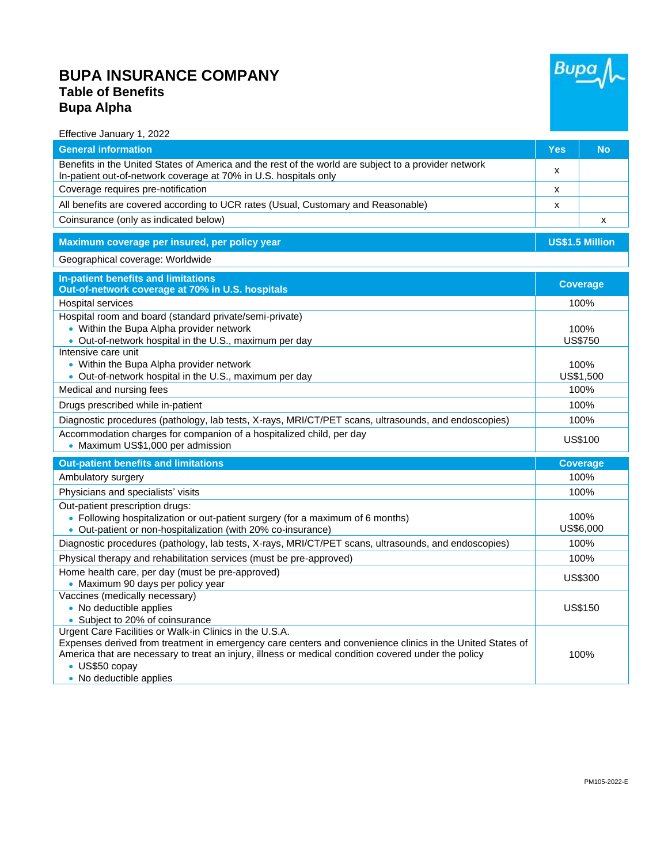## **BUPA INSURANCE COMPANY Table of Benefits Bupa Alpha**



Effective January 1, 2022

| <b>General information</b>                                                                                                                                                                                                                                                                     | <b>Yes</b>             | <b>No</b>       |  |
|------------------------------------------------------------------------------------------------------------------------------------------------------------------------------------------------------------------------------------------------------------------------------------------------|------------------------|-----------------|--|
| Benefits in the United States of America and the rest of the world are subject to a provider network<br>In-patient out-of-network coverage at 70% in U.S. hospitals only                                                                                                                       | x                      |                 |  |
| Coverage requires pre-notification                                                                                                                                                                                                                                                             | x                      |                 |  |
| All benefits are covered according to UCR rates (Usual, Customary and Reasonable)                                                                                                                                                                                                              | x                      |                 |  |
| Coinsurance (only as indicated below)                                                                                                                                                                                                                                                          |                        | X               |  |
| Maximum coverage per insured, per policy year                                                                                                                                                                                                                                                  | <b>US\$1.5 Million</b> |                 |  |
| Geographical coverage: Worldwide                                                                                                                                                                                                                                                               |                        |                 |  |
| In-patient benefits and limitations                                                                                                                                                                                                                                                            |                        |                 |  |
| Out-of-network coverage at 70% in U.S. hospitals                                                                                                                                                                                                                                               | <b>Coverage</b>        |                 |  |
| <b>Hospital services</b>                                                                                                                                                                                                                                                                       | 100%                   |                 |  |
| Hospital room and board (standard private/semi-private)                                                                                                                                                                                                                                        |                        |                 |  |
| • Within the Bupa Alpha provider network                                                                                                                                                                                                                                                       | 100%                   |                 |  |
| • Out-of-network hospital in the U.S., maximum per day<br>Intensive care unit                                                                                                                                                                                                                  | <b>US\$750</b>         |                 |  |
| • Within the Bupa Alpha provider network                                                                                                                                                                                                                                                       | 100%                   |                 |  |
| • Out-of-network hospital in the U.S., maximum per day                                                                                                                                                                                                                                         | US\$1,500              |                 |  |
| Medical and nursing fees                                                                                                                                                                                                                                                                       | 100%                   |                 |  |
| Drugs prescribed while in-patient                                                                                                                                                                                                                                                              | 100%                   |                 |  |
| Diagnostic procedures (pathology, lab tests, X-rays, MRI/CT/PET scans, ultrasounds, and endoscopies)                                                                                                                                                                                           | 100%                   |                 |  |
| Accommodation charges for companion of a hospitalized child, per day<br>• Maximum US\$1,000 per admission                                                                                                                                                                                      | <b>US\$100</b>         |                 |  |
| <b>Out-patient benefits and limitations</b>                                                                                                                                                                                                                                                    |                        | <b>Coverage</b> |  |
| Ambulatory surgery                                                                                                                                                                                                                                                                             | 100%                   |                 |  |
| Physicians and specialists' visits                                                                                                                                                                                                                                                             | 100%                   |                 |  |
| Out-patient prescription drugs:                                                                                                                                                                                                                                                                |                        |                 |  |
| • Following hospitalization or out-patient surgery (for a maximum of 6 months)                                                                                                                                                                                                                 |                        | 100%            |  |
| • Out-patient or non-hospitalization (with 20% co-insurance)                                                                                                                                                                                                                                   |                        | US\$6,000       |  |
| Diagnostic procedures (pathology, lab tests, X-rays, MRI/CT/PET scans, ultrasounds, and endoscopies)                                                                                                                                                                                           | 100%                   |                 |  |
| Physical therapy and rehabilitation services (must be pre-approved)                                                                                                                                                                                                                            | 100%                   |                 |  |
| Home health care, per day (must be pre-approved)<br>• Maximum 90 days per policy year                                                                                                                                                                                                          | US\$300                |                 |  |
| Vaccines (medically necessary)                                                                                                                                                                                                                                                                 |                        |                 |  |
| • No deductible applies                                                                                                                                                                                                                                                                        |                        | <b>US\$150</b>  |  |
| • Subject to 20% of coinsurance                                                                                                                                                                                                                                                                |                        |                 |  |
| Urgent Care Facilities or Walk-in Clinics in the U.S.A.<br>Expenses derived from treatment in emergency care centers and convenience clinics in the United States of<br>America that are necessary to treat an injury, illness or medical condition covered under the policy<br>• US\$50 copay | 100%                   |                 |  |
| • No deductible applies                                                                                                                                                                                                                                                                        |                        |                 |  |